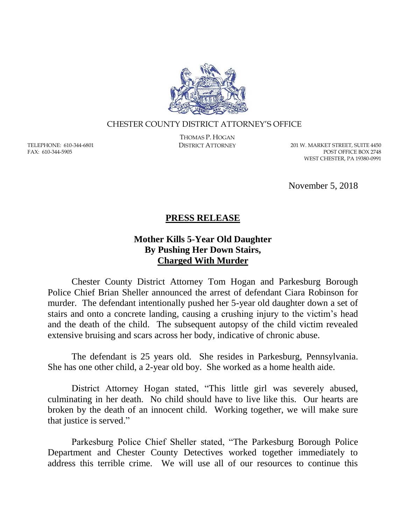

## CHESTER COUNTY DISTRICT ATTORNEY'S OFFICE

TELEPHONE: 610-344-6801 FAX: 610-344-5905

THOMAS P. HOGAN

DISTRICT ATTORNEY 201 W. MARKET STREET, SUITE 4450 POST OFFICE BOX 2748 WEST CHESTER, PA 19380-0991

November 5, 2018

## **PRESS RELEASE**

## **Mother Kills 5-Year Old Daughter By Pushing Her Down Stairs, Charged With Murder**

Chester County District Attorney Tom Hogan and Parkesburg Borough Police Chief Brian Sheller announced the arrest of defendant Ciara Robinson for murder. The defendant intentionally pushed her 5-year old daughter down a set of stairs and onto a concrete landing, causing a crushing injury to the victim's head and the death of the child. The subsequent autopsy of the child victim revealed extensive bruising and scars across her body, indicative of chronic abuse.

The defendant is 25 years old. She resides in Parkesburg, Pennsylvania. She has one other child, a 2-year old boy. She worked as a home health aide.

District Attorney Hogan stated, "This little girl was severely abused, culminating in her death. No child should have to live like this. Our hearts are broken by the death of an innocent child. Working together, we will make sure that justice is served."

Parkesburg Police Chief Sheller stated, "The Parkesburg Borough Police Department and Chester County Detectives worked together immediately to address this terrible crime. We will use all of our resources to continue this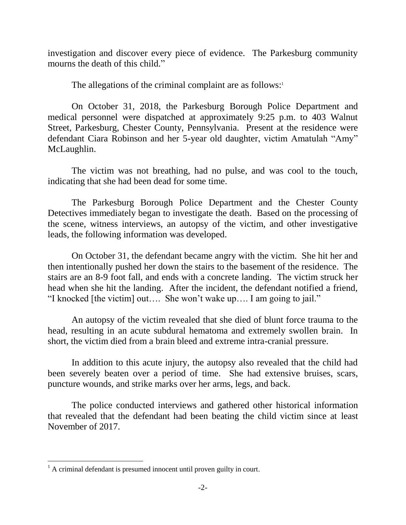investigation and discover every piece of evidence. The Parkesburg community mourns the death of this child."

The allegations of the criminal complaint are as follows: $1$ 

On October 31, 2018, the Parkesburg Borough Police Department and medical personnel were dispatched at approximately 9:25 p.m. to 403 Walnut Street, Parkesburg, Chester County, Pennsylvania. Present at the residence were defendant Ciara Robinson and her 5-year old daughter, victim Amatulah "Amy" McLaughlin.

The victim was not breathing, had no pulse, and was cool to the touch, indicating that she had been dead for some time.

The Parkesburg Borough Police Department and the Chester County Detectives immediately began to investigate the death. Based on the processing of the scene, witness interviews, an autopsy of the victim, and other investigative leads, the following information was developed.

On October 31, the defendant became angry with the victim. She hit her and then intentionally pushed her down the stairs to the basement of the residence. The stairs are an 8-9 foot fall, and ends with a concrete landing. The victim struck her head when she hit the landing. After the incident, the defendant notified a friend, "I knocked [the victim] out…. She won't wake up…. I am going to jail."

An autopsy of the victim revealed that she died of blunt force trauma to the head, resulting in an acute subdural hematoma and extremely swollen brain. In short, the victim died from a brain bleed and extreme intra-cranial pressure.

In addition to this acute injury, the autopsy also revealed that the child had been severely beaten over a period of time. She had extensive bruises, scars, puncture wounds, and strike marks over her arms, legs, and back.

The police conducted interviews and gathered other historical information that revealed that the defendant had been beating the child victim since at least November of 2017.

 $\overline{a}$  $<sup>1</sup>$  A criminal defendant is presumed innocent until proven guilty in court.</sup>